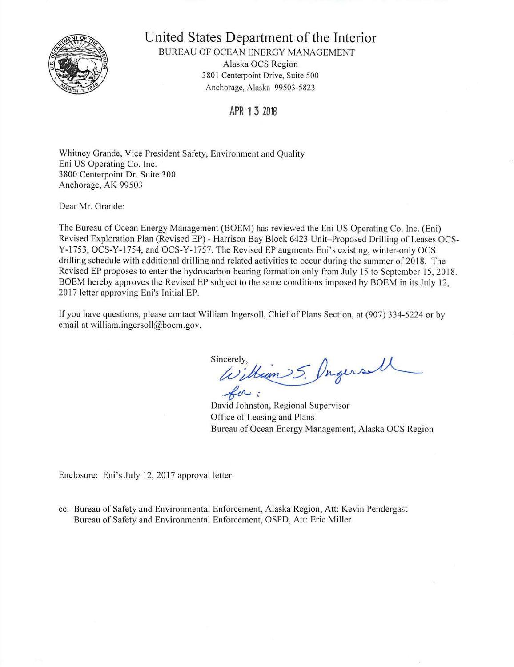

**United States Department of the Interior** 

BUREAU OF OCEAN ENERGY MANAGEMENT Alaska OCS Region 3801 Centerpoint Drive, Suite 500 Anchorage, Alaska 99503-5823

**APR 13 2018** 

Whitney Grande, Vice President Safety, Environment and Quality Eni US Operating Co. Inc. 3800 Centerpoint Dr. Suite 300 Anchorage, AK 99503

Dear Mr. Grande:

The Bureau of Ocean Energy Management (BOEM) has reviewed the Eni US Operating Co. Inc. (Eni) Revised Exploration Plan (Revised EP) - Harrison Bay Block 6423 Unit-Proposed Drilling of Leases OCS-Y-1753, OCS-Y-1754, and OCS-Y-1757. The Revised EP augments Eni's existing, winter-only OCS drilling schedule with additional drilling and related activities to occur during the summer of 2018. The Revised EP proposes to enter the hydrocarbon bearing formation only from July 15 to September 15, 20 18. BOEM hereby approves the Revised EP subject to the same conditions imposed by BOEM in its July 12, 2017 letter approving Eni's Initial EP.

If you have questions, please contact William Ingersoll, Chief of Plans Section, at (907) 334-5224 or by email at william.ingersoll@boem.gov.

Sincerely, incerely, Union 5. Progers Ul for:

David Johnston, Regional Supervisor Office of Leasing and Plans Bureau of Ocean Energy Management, Alaska OCS Region

Enclosure: Eni's July 12, 2017 approval letter

cc. Bureau of Safety and Environmental Enforcement, Alaska Region, Att: Kevin Pendergast Bureau of Safety and Environmental Enforcement, OSPD, Att: Eric Miller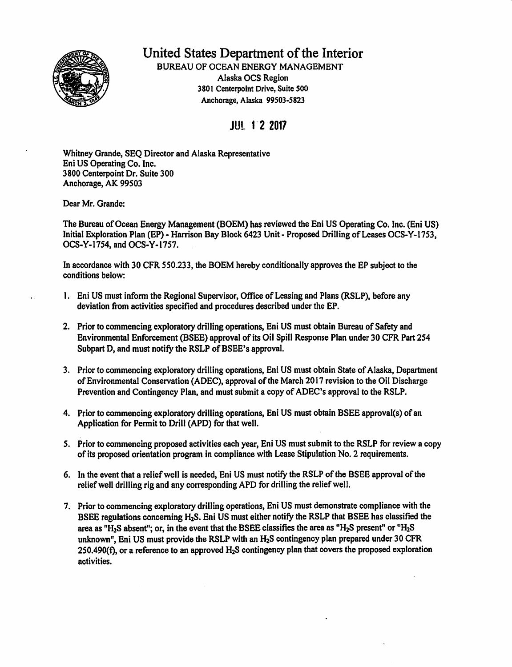

## United States Department of the Interior

BUREAU OF OCEAN ENERGY MANAGEMENT Alaska OCS Region 3801 Centerpoint Drive, Suite 500 Anchorage, Alaska 99503-5823

## JUL 1·**2 2017**

Whitney Grande, SEQ Director and Alaska Representative Eni US Operating Co. Inc. 3800 Centerpoint Dr. Suite 300 Anchorage, AK 99503

Dear Mr. Grande:

The Bureau of Ocean Energy Management (BOEM) has reviewed the Eni US Operating Co. Inc. (Eni US) Initial Exploration Plan (BP)- Harrison Bay Block 6423 Unit- Proposed Drilling of Leases OCS-Y-1753, OCS-Y-1754, and OCS-Y-1757.

In accordance with 30 CFR 550.233, the BOEM hereby conditionally approves the EP subject to the conditions below:

- 1. Eni US must infonn the Regional Supervisor, Office of Leasing and Plans (RSLP), before any deviation from activities specified and procedures described under the EP.
- 2. Prior to commencing exploratory drilling operations, Eni US must obtain Bureau of Safety and Environmental Enforcement (BSEE) approval of its Oil Spill Response Plan under 30 CFR Part 254 Subpart D, and must notify the RSLP of BSEE's approval.
- 3. Prior to commencing exploratory drilling operations, Eni US must obtain State of Alaska, Department of Environmental Conservation (ADEC), approval of the March 2017 revision to the Oil Discharge Prevention and Contingency Plan, and must submit a copy of ADEC's approval to the RSLP.
- 4. Prior to commencing exploratory drilling operations, Eni US must obtain BSEE approval(s) of an Application for Permit to Drill (APD) for that well.
- 5. Prior to commencing proposed activities each year, Eni US must submit to the RSLP for review a copy of its proposed orientation program in compliance with Lease Stipulation No. 2 requirements.
- 6. In the event that a relief well is needed, Eni US must notify the RSLP of the BSEE approval ofthe relief well drilling rig and any corresponding APD for drilling the relief well.
- 7. Prior to commencing exploratory drilling operations, Eni US must demonstrate compliance with the BSEE regulations concerning H2S. Eni US must either notify the RSLP that BSEE has classified the area as "H<sub>2</sub>S absent"; or, in the event that the BSEE classifies the area as "H<sub>2</sub>S present" or "H<sub>2</sub>S unknown", Eni US must provide the RSLP with an H<sub>2</sub>S contingency plan prepared under 30 CFR 250.490(f), or a reference to an approved H<sub>2</sub>S contingency plan that covers the proposed exploration activities.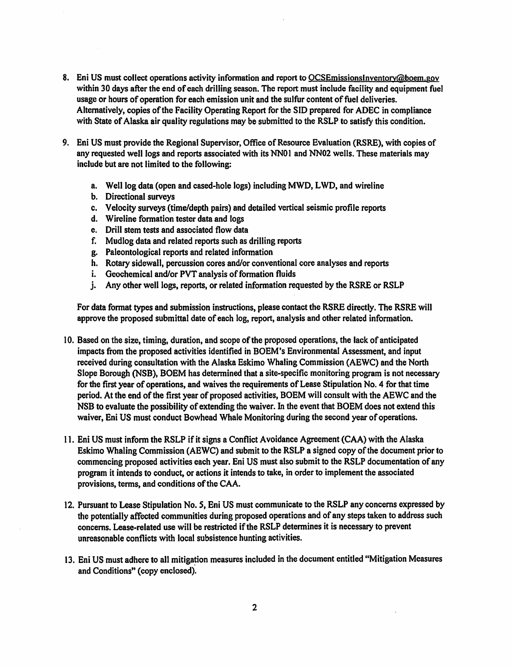- 8. Eni US must collect operations activity information and report to OCSEmissionsinventoty@boem.gov within 30 days after the end of each drilling season. The report must include facility and equipment fuel usage or hours of operation for each emission unit and the sulfur content of fuel deliveries. Alternatively, copies of the Facility Operating Report for the SID prepared for ADEC in compliance with State of Alaska air quality regulations may be submitted to the RSLP to satisfy this condition.
- 9. Eni US must provide the Regional Supervisor, Office of Resource Evaluation (RSRE), with copies of any requested well logs and reports associated with its NN01 and NN02 wells. These materials may include but are not limited to the following:
	- a. Well log data (open and cased-hole logs) including MWD, LWD, and wireline
	- b. Directional surveys
	- c. Velocity surveys (time/depth pairs) and detailed vertical seismic profile reports
	- d. Wireline formation tester data and logs
	- e. Drill stem tests and associated flow data
	- f. Mudlog data and related reports such as drilling reports
	- g. Paleontological reports and related information
	- h. Rotary sidewall, percussion cores and/or conventional core analyses and reports
	- i. Geochemical and/or PVT analysis of formation fluids
	- j. Any other well logs, reports, or related information requested by the RSRE or RSLP

For data format types and submission instructions, please contact the RSRE directly. The RSRE will approve the proposed submittal date of each log, report, analysis and other related infonnation.

- 10. Based on the size, timing, duration, and scope ofthe proposed operations, the lack of anticipated impacts from the proposed activities identified in BOEM's Environmental Assessment, and input received during consultation with the Alaska Eskimo Whaling Commission (AEWC) and the North Slope Borough (NSB), BOEM has determined that a site-specific monitoring program is not necessary for the first year of operations, and waives the requirements of Lease Stipulation No. 4 for that time period. At the end of the first year of proposed activities, BOEM will consult with the AEWC and the NSB to evaluate the possibility of extending the waiver. In the event that BOEM does not extend this waiver, Eni US must conduct Bowhead Whale Monitoring during the second year of operations.
- 11. Eni US must inform the RSLP if it signs a Conflict Avoidance Agreement (CAA) with the Alaska Eskimo Whaling Commission (AEWC) and submit to the RSLP a signed copy of the document prior to commencing proposed activities each year. Eni US must also submit to the RSLP documentation of any program it intends to conduct, or actions it intends to take, in order to implement the associated provisions, terms, and conditions of the CAA.
- 12. Pursuant to Lease Stipulation No. S, Eni US must communicate to the RSLP any concerns expressed by the potentially affected communities during proposed operations and of any steps taken to address such concerns. Lease-related use will be restricted if the RSLP determines it is necessary to prevent unreasonable conflicts with local subsistence hunting activities.
- 13. Eni US must adhere to all mitigation measures included in the document entitled "Mitigation Measures" and Conditions" (copy enclosed).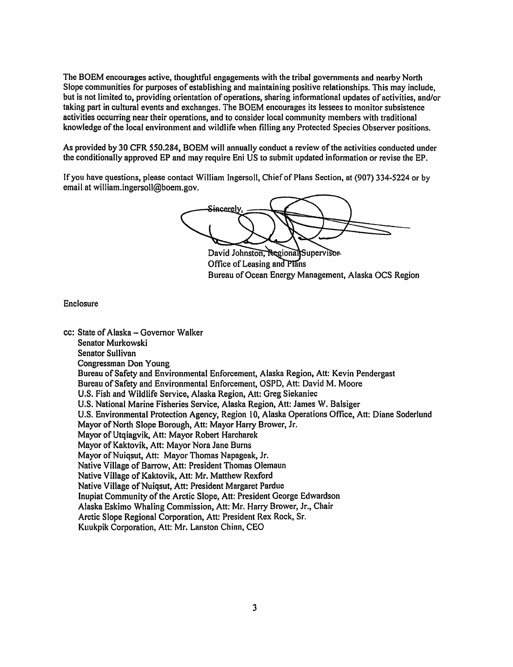The BOEM encourages active, thoughtful engagements with the tribal governments and nearby North Slope communities for purposes of establishing and maintaining positive relationships. This may include, but is not limited to, providing orientation of operations, sharing informational updates of activities, and/or taking part in cultural events and exchanges. The BOEM encourages its lessees to monitor subsistence activities occurring near their operations, and to consider local community members with traditional knowledge of the local environment and wildlife when filling any Protected Species Observer positions.

As provided by 30 CFR 550.284, BOEM will annually conduct a review of the activities conducted under the conditionally approved EP and may require Eni US to submit updated information or revise the EP.

If you have questions, please contact William Ingersoll, Chief of Plans Section, at (907) 334-5224 or by email at william.ingersoll@boem.gov.

<del>Sin</del>cerely

David Johnston, Regional Supervisor Office of Leasing and Plans Bureau of Ocean Energy Management, Alaska OCS Region

## Enclosure

```
cc: State of Alaska - Governor Walker
Senator Murkowski 
Senator Sullivan 
Congressman Don Young 
Bureau of Safety and Environmental Enforcement, Alaska Region, Att: Kevin Pendergast
Bureau of Safety and Environmental Enforcement, OSPD, Att: David M. Moore 
U.S. Fish and Wildlife Service, Alaska Region, Att: Greg Siekaniec 
U.S. National Marine Fisheries Service, Alaska Region, Att: James W. Balsiger 
U.S. Environmental Protection Agency, Region 10, Alaska Operations Office, Att: Diane Soderlund 
Mayor of North Slope Borough, Att: Mayor Harry Brower, Jr.
Mayor of Utqiagvik, Att: Mayor Robert Harcharek 
Mayor of Kaktovik, Att: Mayor Nora Jane Burns 
Mayor of Nuiqsut, Att: Mayor Thomas Napageak, Jr.
Native Village of Barrow, Att: President Thomas Olemaun
Native Village of Kaktovik, Att: Mr. Matthew Rexford 
Native Village of Nuiqsut, Att: President Margaret Pardue
lnupiat Community of the Arctic Slope, Att: President George Edwardson 
Alaska Eskimo Whaling Commission, Att: Mr. Harry Brower, Jr., Chair 
Arctic Slope Regional Corporation, Att: President Rex Rock, Sr. 
Kuukpik Corporation, Att: Mr. Lanston Chinn, CEO
```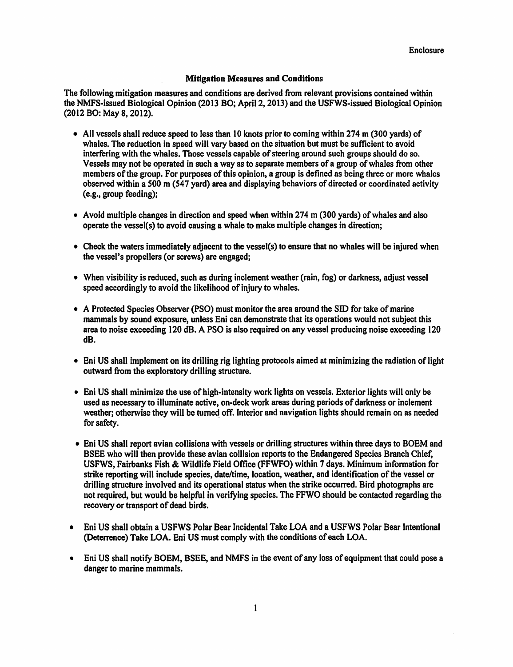## **Mitigation Measures and Conditions**

The following mitigation measures and conditions are derived from relevant provisions contained within the NMFS-issued Biological Opinion (2013 BO; April 2, 2013) and the USFWS-issued Biological Opinion (2012 BO: May 8, 2012).

- All vessels shall reduce speed to less than 10 knots prior to coming within 274 m (300 yards) of whales. The reduction in speed will vary based on the situation but must be sufficient to avoid interfering with the whales. Those vessels capable of steering around such groups should do so. Vessels may not be operated in such a way as to separate members of a group of whales from other members ofthe group. For purposes of this opinion, a group is defined as being three or more whales observed within a 500 m ( $547$  yard) area and displaying behaviors of directed or coordinated activity (e.g., group feeding);
- Avoid multiple changes in direction and speed when within 274 m (300 yards) of whales and also operate the vessel(s) to avoid causing a whale to make multiple changes in direction;
- Check the waters immediately adjacent to the vessel(s) to ensure that no whales will be injured when the vessel's propellers ( or screws} are engaged;
- When visibility is reduced, such as during inclement weather (rain, fog) or darkness, adjust vessel speed accordingly to avoid the likelihood of injury to whales.
- A Protected Species Observer (PSO) must monitor the area around the SID for take of marine mammals by sound exposure, unless Eni can demonstrate that its operations would not subject this area to noise exceeding 120 dB. A PSO is also required on any vessel producing noise exceeding 120 dB.
- Eni US shall implement on its drilling rig lighting protocols aimed at minimizing the radiation of light outward from the exploratory drilling structure.
- Eni US shall minimize the use of high-intensity work lights on vessels. Exterior lights will only be used as necessary to illuminate active, on-deck work areas during periods of darkness or inclement weather; otherwise they will be turned off. Interior and navigation lights should remain on as needed for safety.
- Eni US shall report avian collisions with vessels or drilling structures within three days to BOEM and BSEE who will then provide these avian collision reports to the Endangered Species Branch Chief, USFWS, Fairbanks Fish & Wildlife Field Office (FFWFO) within 7 days. Minimum information for strike reporting will include species, date/time, location, weather, and identification of the vessel or drilling structure involved and its operational status when the strike occurred. Bird photographs are not required, but would be helpful in verifying species. The FFWO should be contacted regarding the recovery or transport of dead birds.
- Eni US shall obtain a.USFWS Polar Bear Incidental Take LOA and a USFWS Polar Bear Intentional (Deterrence} Take LOA. Eni US must comply with the conditions ofeach LOA.
- Eni US shall notify BOEM, BSEE, and NMFS in the event of any loss of equipment that could pose a danger to marine mammals.